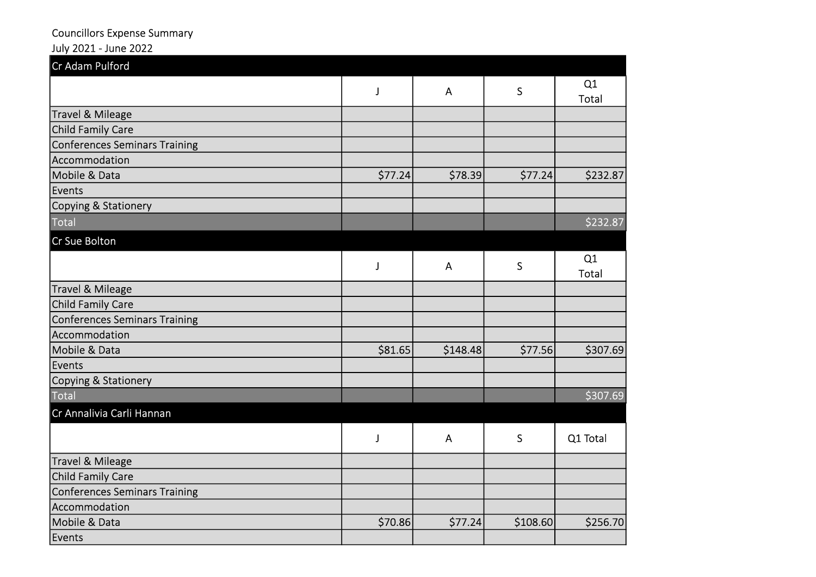## Councillors Expense Summary

## July 2021 - June 2022

| Cr Adam Pulford               |         |              |          |             |
|-------------------------------|---------|--------------|----------|-------------|
|                               | J       | $\mathsf{A}$ | S        | Q1<br>Total |
| Travel & Mileage              |         |              |          |             |
| Child Family Care             |         |              |          |             |
| Conferences Seminars Training |         |              |          |             |
| Accommodation                 |         |              |          |             |
| Mobile & Data                 | \$77.24 | \$78.39      | \$77.24  | \$232.87    |
| Events                        |         |              |          |             |
| Copying & Stationery          |         |              |          |             |
| <b>Total</b>                  |         |              |          | \$232.87    |
| Cr Sue Bolton                 |         |              |          |             |
|                               | J       | A            | S        | Q1<br>Total |
| Travel & Mileage              |         |              |          |             |
| <b>Child Family Care</b>      |         |              |          |             |
| Conferences Seminars Training |         |              |          |             |
| Accommodation                 |         |              |          |             |
| Mobile & Data                 | \$81.65 | \$148.48     | \$77.56  | \$307.69    |
| Events                        |         |              |          |             |
| Copying & Stationery          |         |              |          |             |
| <b>Total</b>                  |         |              |          | \$307.69    |
| Cr Annalivia Carli Hannan     |         |              |          |             |
|                               | J       | A            | S        | Q1 Total    |
| Travel & Mileage              |         |              |          |             |
| Child Family Care             |         |              |          |             |
| Conferences Seminars Training |         |              |          |             |
| Accommodation                 |         |              |          |             |
| Mobile & Data                 | \$70.86 | \$77.24      | \$108.60 | \$256.70    |
| Events                        |         |              |          |             |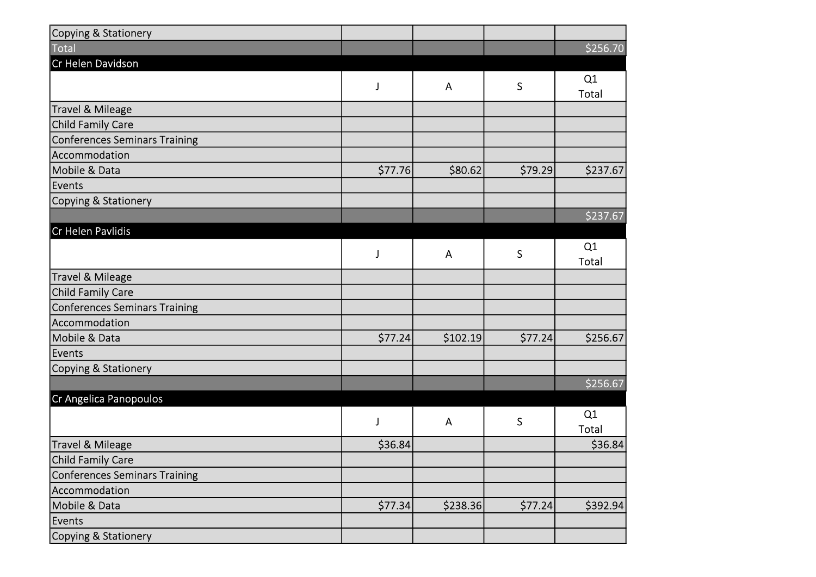| Copying & Stationery                 |          |          |             |          |
|--------------------------------------|----------|----------|-------------|----------|
| Total                                |          |          |             | \$256.70 |
| Cr Helen Davidson                    |          |          |             |          |
|                                      | J        | A        | S           | Q1       |
|                                      |          |          |             | Total    |
| Travel & Mileage                     |          |          |             |          |
| Child Family Care                    |          |          |             |          |
| <b>Conferences Seminars Training</b> |          |          |             |          |
| Accommodation                        |          |          |             |          |
| Mobile & Data                        | \$77.76  | \$80.62  | \$79.29     | \$237.67 |
| Events                               |          |          |             |          |
| Copying & Stationery                 |          |          |             |          |
|                                      |          |          |             | \$237.67 |
| Cr Helen Pavlidis                    |          |          |             |          |
|                                      | J        | A        | S           | Q1       |
|                                      |          |          |             | Total    |
| Travel & Mileage                     |          |          |             |          |
| Child Family Care                    |          |          |             |          |
| <b>Conferences Seminars Training</b> |          |          |             |          |
| Accommodation                        |          |          |             |          |
| Mobile & Data                        | \$77.24  | \$102.19 | \$77.24     | \$256.67 |
| Events                               |          |          |             |          |
| Copying & Stationery                 |          |          |             |          |
|                                      |          |          |             | \$256.67 |
| Cr Angelica Panopoulos               |          |          |             |          |
|                                      | J        | A        | $\mathsf S$ | Q1       |
|                                      |          |          |             | Total    |
| Travel & Mileage                     | \$36.84  |          |             | \$36.84  |
| Child Family Care                    |          |          |             |          |
| Conferences Seminars Training        |          |          |             |          |
| Accommodation                        |          |          |             |          |
| Mobile & Data                        | \$77.34] | \$238.36 | \$77.24     | \$392.94 |
| Events                               |          |          |             |          |
| Copying & Stationery                 |          |          |             |          |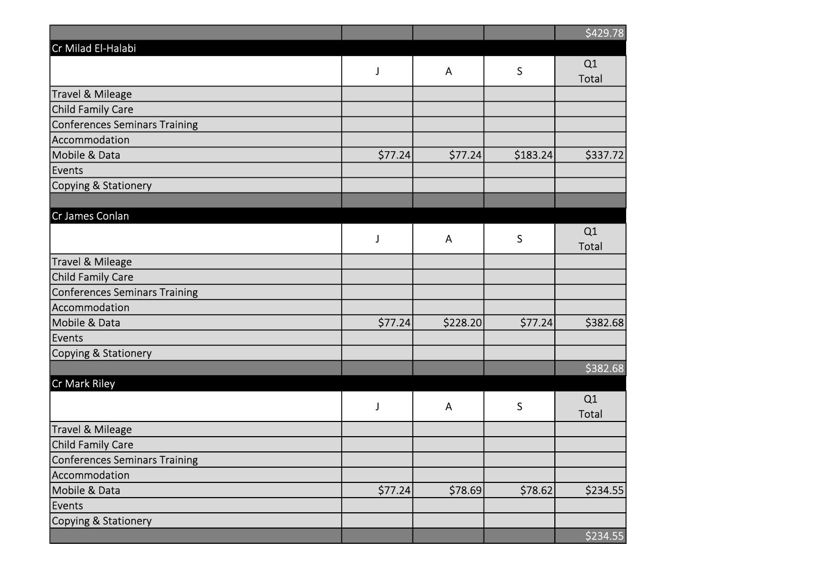|                                      |          |          |             | \$429.78    |
|--------------------------------------|----------|----------|-------------|-------------|
| Cr Milad El-Halabi                   |          |          |             |             |
|                                      | J        | A        | $\mathsf S$ | Q1          |
|                                      |          |          |             | Total       |
| <b>Travel &amp; Mileage</b>          |          |          |             |             |
| Child Family Care                    |          |          |             |             |
| <b>Conferences Seminars Training</b> |          |          |             |             |
| Accommodation                        |          |          |             |             |
| Mobile & Data                        | \$77.24] | \$77.24  | \$183.24    | \$337.72    |
| Events                               |          |          |             |             |
| Copying & Stationery                 |          |          |             |             |
|                                      |          |          |             |             |
| Cr James Conlan                      |          |          |             |             |
|                                      | J        | A        | S           | Q1<br>Total |
| Travel & Mileage                     |          |          |             |             |
| Child Family Care                    |          |          |             |             |
| <b>Conferences Seminars Training</b> |          |          |             |             |
| Accommodation                        |          |          |             |             |
| Mobile & Data                        | \$77.24  | \$228.20 | \$77.24     | \$382.68    |
| Events                               |          |          |             |             |
| Copying & Stationery                 |          |          |             |             |
|                                      |          |          |             | \$382.68    |
| Cr Mark Riley                        |          |          |             |             |
|                                      | J        | A        | $\mathsf S$ | Q1          |
|                                      |          |          |             | Total       |
| Travel & Mileage                     |          |          |             |             |
| Child Family Care                    |          |          |             |             |
| Conferences Seminars Training        |          |          |             |             |
| Accommodation                        |          |          |             |             |
| Mobile & Data                        | \$77.24] | \$78.69  | \$78.62     | \$234.55    |
| Events                               |          |          |             |             |
| Copying & Stationery                 |          |          |             |             |
|                                      |          |          |             | \$234.55    |